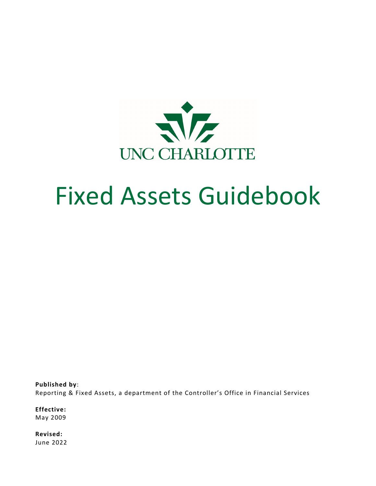

# Fixed Assets Guidebook

**Published by**: Reporting & Fixed Assets, a department of the Controller's Office in Financial Services

**Effective:** May 2009

**Revised:** June 2022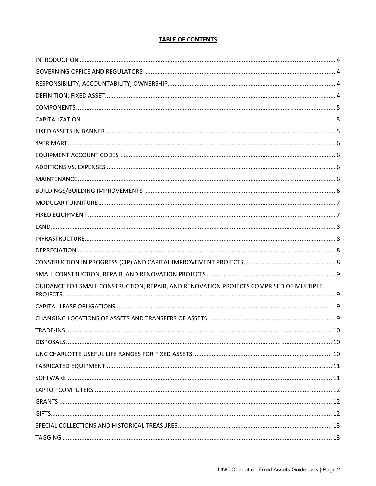# **TABLE OF CONTENTS**

| GUIDANCE FOR SMALL CONSTRUCTION, REPAIR, AND RENOVATION PROJECTS COMPRISED OF MULTIPLE |    |
|----------------------------------------------------------------------------------------|----|
|                                                                                        |    |
|                                                                                        |    |
| <b>TRADE-INS</b>                                                                       | 10 |
|                                                                                        |    |
|                                                                                        |    |
|                                                                                        |    |
|                                                                                        |    |
|                                                                                        |    |
|                                                                                        |    |
|                                                                                        |    |
|                                                                                        |    |
|                                                                                        |    |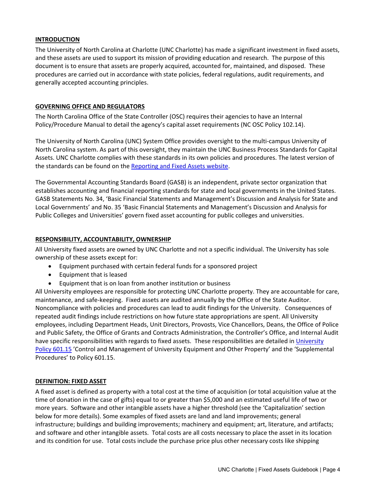## **INTRODUCTION**

The University of North Carolina at Charlotte (UNC Charlotte) has made a significant investment in fixed assets, and these assets are used to support its mission of providing education and research. The purpose of this document is to ensure that assets are properly acquired, accounted for, maintained, and disposed. These procedures are carried out in accordance with state policies, federal regulations, audit requirements, and generally accepted accounting principles.

## **GOVERNING OFFICE AND REGULATORS**

The North Carolina Office of the State Controller (OSC) requires their agencies to have an Internal Policy/Procedure Manual to detail the agency's capital asset requirements (NC OSC Policy 102.14).

The University of North Carolina (UNC) System Office provides oversight to the multi‐campus University of North Carolina system. As part of this oversight, they maintain the UNC Business Process Standards for Capital Assets. UNC Charlotte complies with these standards in its own policies and procedures. The latest version of the standards can be found on the Reporting and Fixed Assets website.

The Governmental Accounting Standards Board (GASB) is an independent, private sector organization that establishes accounting and financial reporting standards for state and local governments in the United States. GASB Statements No. 34, 'Basic Financial Statements and Management's Discussion and Analysis for State and Local Governments' and No. 35 'Basic Financial Statements and Management's Discussion and Analysis for Public Colleges and Universities' govern fixed asset accounting for public colleges and universities.

#### **RESPONSIBILITY, ACCOUNTABILITY, OWNERSHIP**

All University fixed assets are owned by UNC Charlotte and not a specific individual. The University has sole ownership of these assets except for:

- Equipment purchased with certain federal funds for a sponsored project
- Equipment that is leased
- Equipment that is on loan from another institution or business

All University employees are responsible for protecting UNC Charlotte property. They are accountable for care, maintenance, and safe‐keeping. Fixed assets are audited annually by the Office of the State Auditor. Noncompliance with policies and procedures can lead to audit findings for the University. Consequences of repeated audit findings include restrictions on how future state appropriations are spent. All University employees, including Department Heads, Unit Directors, Provosts, Vice Chancellors, Deans, the Office of Police and Public Safety, the Office of Grants and Contracts Administration, the Controller's Office, and Internal Audit have specific responsibilities with regards to fixed assets. These responsibilities are detailed in University Policy 601.15 'Control and Management of University Equipment and Other Property' and the 'Supplemental Procedures' to Policy 601.15.

#### **DEFINITION: FIXED ASSET**

A fixed asset is defined as property with a total cost at the time of acquisition (or total acquisition value at the time of donation in the case of gifts) equal to or greater than \$5,000 and an estimated useful life of two or more years. Software and other intangible assets have a higher threshold (see the 'Capitalization' section below for more details). Some examples of fixed assets are land and land improvements; general infrastructure; buildings and building improvements; machinery and equipment; art, literature, and artifacts; and software and other intangible assets. Total costs are all costs necessary to place the asset in its location and its condition for use. Total costs include the purchase price plus other necessary costs like shipping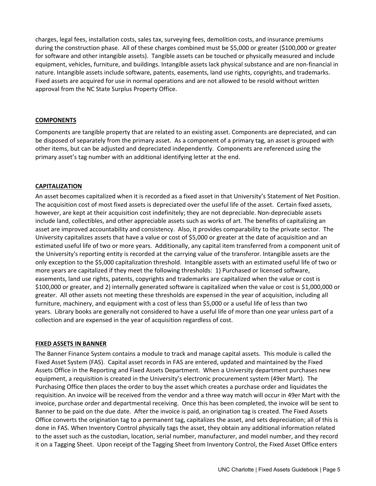charges, legal fees, installation costs, sales tax, surveying fees, demolition costs, and insurance premiums during the construction phase. All of these charges combined must be \$5,000 or greater (\$100,000 or greater for software and other intangible assets). Tangible assets can be touched or physically measured and include equipment, vehicles, furniture, and buildings. Intangible assets lack physical substance and are non‐financial in nature. Intangible assets include software, patents, easements, land use rights, copyrights, and trademarks. Fixed assets are acquired for use in normal operations and are not allowed to be resold without written approval from the NC State Surplus Property Office.

## **COMPONENTS**

Components are tangible property that are related to an existing asset. Components are depreciated, and can be disposed of separately from the primary asset. As a component of a primary tag, an asset is grouped with other items, but can be adjusted and depreciated independently. Components are referenced using the primary asset's tag number with an additional identifying letter at the end.

## **CAPITALIZATION**

An asset becomes capitalized when it is recorded as a fixed asset in that University's Statement of Net Position. The acquisition cost of most fixed assets is depreciated over the useful life of the asset. Certain fixed assets, however, are kept at their acquisition cost indefinitely; they are not depreciable. Non-depreciable assets include land, collectibles, and other appreciable assets such as works of art. The benefits of capitalizing an asset are improved accountability and consistency. Also, it provides comparability to the private sector. The University capitalizes assets that have a value or cost of \$5,000 or greater at the date of acquisition and an estimated useful life of two or more years. Additionally, any capital item transferred from a component unit of the University's reporting entity is recorded at the carrying value of the transferor. Intangible assets are the only exception to the \$5,000 capitalization threshold. Intangible assets with an estimated useful life of two or more years are capitalized if they meet the following thresholds: 1) Purchased or licensed software, easements, land use rights, patents, copyrights and trademarks are capitalized when the value or cost is \$100,000 or greater, and 2) internally generated software is capitalized when the value or cost is \$1,000,000 or greater. All other assets not meeting these thresholds are expensed in the year of acquisition, including all furniture, machinery, and equipment with a cost of less than \$5,000 or a useful life of less than two years. Library books are generally not considered to have a useful life of more than one year unless part of a collection and are expensed in the year of acquisition regardless of cost.

#### **FIXED ASSETS IN BANNER**

The Banner Finance System contains a module to track and manage capital assets. This module is called the Fixed Asset System (FAS). Capital asset records in FAS are entered, updated and maintained by the Fixed Assets Office in the Reporting and Fixed Assets Department. When a University department purchases new equipment, a requisition is created in the University's electronic procurement system (49er Mart). The Purchasing Office then places the order to buy the asset which creates a purchase order and liquidates the requisition. An invoice will be received from the vendor and a three way match will occur in 49er Mart with the invoice, purchase order and departmental receiving. Once this has been completed, the invoice will be sent to Banner to be paid on the due date. After the invoice is paid, an origination tag is created. The Fixed Assets Office converts the origination tag to a permanent tag, capitalizes the asset, and sets depreciation; all of this is done in FAS. When Inventory Control physically tags the asset, they obtain any additional information related to the asset such as the custodian, location, serial number, manufacturer, and model number, and they record it on a Tagging Sheet. Upon receipt of the Tagging Sheet from Inventory Control, the Fixed Asset Office enters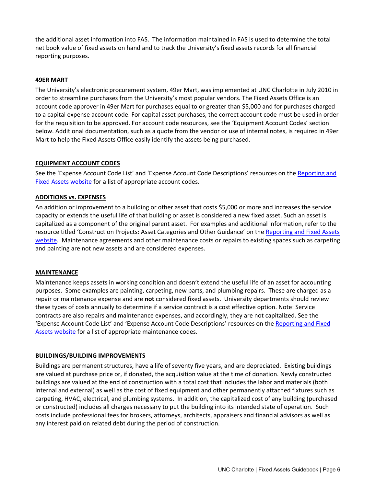the additional asset information into FAS. The information maintained in FAS is used to determine the total net book value of fixed assets on hand and to track the University's fixed assets records for all financial reporting purposes.

## **49ER MART**

The University's electronic procurement system, 49er Mart, was implemented at UNC Charlotte in July 2010 in order to streamline purchases from the University's most popular vendors. The Fixed Assets Office is an account code approver in 49er Mart for purchases equal to or greater than \$5,000 and for purchases charged to a capital expense account code. For capital asset purchases, the correct account code must be used in order for the requisition to be approved. For account code resources, see the 'Equipment Account Codes' section below. Additional documentation, such as a quote from the vendor or use of internal notes, is required in 49er Mart to help the Fixed Assets Office easily identify the assets being purchased.

## **EQUIPMENT ACCOUNT CODES**

See the 'Expense Account Code List' and 'Expense Account Code Descriptions' resources on the Reporting and Fixed Assets website for a list of appropriate account codes.

## **ADDITIONS vs. EXPENSES**

An addition or improvement to a building or other asset that costs \$5,000 or more and increases the service capacity or extends the useful life of that building or asset is considered a new fixed asset. Such an asset is capitalized as a component of the original parent asset. For examples and additional information, refer to the resource titled 'Construction Projects: Asset Categories and Other Guidance' on the Reporting and Fixed Assets website. Maintenance agreements and other maintenance costs or repairs to existing spaces such as carpeting and painting are not new assets and are considered expenses.

#### **MAINTENANCE**

Maintenance keeps assets in working condition and doesn't extend the useful life of an asset for accounting purposes. Some examples are painting, carpeting, new parts, and plumbing repairs. These are charged as a repair or maintenance expense and are **not** considered fixed assets. University departments should review these types of costs annually to determine if a service contract is a cost effective option. Note: Service contracts are also repairs and maintenance expenses, and accordingly, they are not capitalized. See the 'Expense Account Code List' and 'Expense Account Code Descriptions' resources on the Reporting and Fixed Assets website for a list of appropriate maintenance codes.

# **BUILDINGS/BUILDING IMPROVEMENTS**

Buildings are permanent structures, have a life of seventy five years, and are depreciated. Existing buildings are valued at purchase price or, if donated, the acquisition value at the time of donation. Newly constructed buildings are valued at the end of construction with a total cost that includes the labor and materials (both internal and external) as well as the cost of fixed equipment and other permanently attached fixtures such as carpeting, HVAC, electrical, and plumbing systems. In addition, the capitalized cost of any building (purchased or constructed) includes all charges necessary to put the building into its intended state of operation. Such costs include professional fees for brokers, attorneys, architects, appraisers and financial advisors as well as any interest paid on related debt during the period of construction.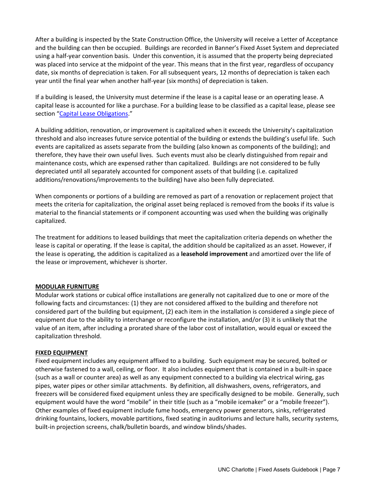After a building is inspected by the State Construction Office, the University will receive a Letter of Acceptance and the building can then be occupied. Buildings are recorded in Banner's Fixed Asset System and depreciated using a half‐year convention basis. Under this convention, it is assumed that the property being depreciated was placed into service at the midpoint of the year. This means that in the first year, regardless of occupancy date, six months of depreciation is taken. For all subsequent years, 12 months of depreciation is taken each year until the final year when another half‐year (six months) of depreciation is taken.

If a building is leased, the University must determine if the lease is a capital lease or an operating lease. A capital lease is accounted for like a purchase. For a building lease to be classified as a capital lease, please see section "Capital Lease Obligations."

A building addition, renovation, or improvement is capitalized when it exceeds the University's capitalization threshold and also increases future service potential of the building or extends the building's useful life. Such events are capitalized as assets separate from the building (also known as components of the building); and therefore, they have their own useful lives. Such events must also be clearly distinguished from repair and maintenance costs, which are expensed rather than capitalized. Buildings are not considered to be fully depreciated until all separately accounted for component assets of that building (i.e. capitalized additions/renovations/improvements to the building) have also been fully depreciated.

When components or portions of a building are removed as part of a renovation or replacement project that meets the criteria for capitalization, the original asset being replaced is removed from the books if its value is material to the financial statements or if component accounting was used when the building was originally capitalized.

The treatment for additions to leased buildings that meet the capitalization criteria depends on whether the lease is capital or operating. If the lease is capital, the addition should be capitalized as an asset. However, if the lease is operating, the addition is capitalized as a **leasehold improvement** and amortized over the life of the lease or improvement, whichever is shorter.

# **MODULAR FURNITURE**

Modular work stations or cubical office installations are generally not capitalized due to one or more of the following facts and circumstances: (1) they are not considered affixed to the building and therefore not considered part of the building but equipment, (2) each item in the installation is considered a single piece of equipment due to the ability to interchange or reconfigure the installation, and/or (3) it is unlikely that the value of an item, after including a prorated share of the labor cost of installation, would equal or exceed the capitalization threshold.

#### **FIXED EQUIPMENT**

Fixed equipment includes any equipment affixed to a building. Such equipment may be secured, bolted or otherwise fastened to a wall, ceiling, or floor. It also includes equipment that is contained in a built‐in space (such as a wall or counter area) as well as any equipment connected to a building via electrical wiring, gas pipes, water pipes or other similar attachments. By definition, all dishwashers, ovens, refrigerators, and freezers will be considered fixed equipment unless they are specifically designed to be mobile. Generally, such equipment would have the word "mobile" in their title (such as a "mobile icemaker" or a "mobile freezer"). Other examples of fixed equipment include fume hoods, emergency power generators, sinks, refrigerated drinking fountains, lockers, movable partitions, fixed seating in auditoriums and lecture halls, security systems, built-in projection screens, chalk/bulletin boards, and window blinds/shades.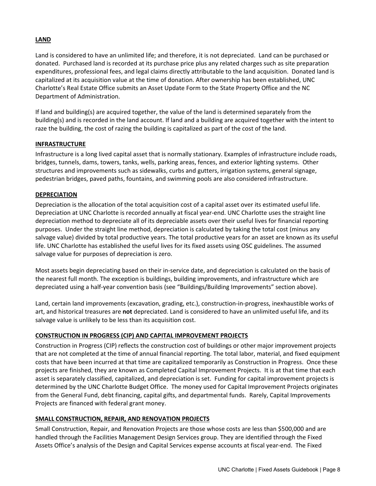# **LAND**

Land is considered to have an unlimited life; and therefore, it is not depreciated. Land can be purchased or donated. Purchased land is recorded at its purchase price plus any related charges such as site preparation expenditures, professional fees, and legal claims directly attributable to the land acquisition. Donated land is capitalized at its acquisition value at the time of donation. After ownership has been established, UNC Charlotte's Real Estate Office submits an Asset Update Form to the State Property Office and the NC Department of Administration.

If land and building(s) are acquired together, the value of the land is determined separately from the building(s) and is recorded in the land account. If land and a building are acquired together with the intent to raze the building, the cost of razing the building is capitalized as part of the cost of the land.

# **INFRASTRUCTURE**

Infrastructure is a long lived capital asset that is normally stationary. Examples of infrastructure include roads, bridges, tunnels, dams, towers, tanks, wells, parking areas, fences, and exterior lighting systems. Other structures and improvements such as sidewalks, curbs and gutters, irrigation systems, general signage, pedestrian bridges, paved paths, fountains, and swimming pools are also considered infrastructure.

## **DEPRECIATION**

Depreciation is the allocation of the total acquisition cost of a capital asset over its estimated useful life. Depreciation at UNC Charlotte is recorded annually at fiscal year-end. UNC Charlotte uses the straight line depreciation method to depreciate all of its depreciable assets over their useful lives for financial reporting purposes. Under the straight line method, depreciation is calculated by taking the total cost (minus any salvage value) divided by total productive years. The total productive years for an asset are known as its useful life. UNC Charlotte has established the useful lives for its fixed assets using OSC guidelines. The assumed salvage value for purposes of depreciation is zero.

Most assets begin depreciating based on their in‐service date, and depreciation is calculated on the basis of the nearest full month. The exception is buildings, building improvements, and infrastructure which are depreciated using a half‐year convention basis (see "Buildings/Building Improvements" section above).

Land, certain land improvements (excavation, grading, etc.), construction‐in‐progress, inexhaustible works of art, and historical treasures are **not** depreciated. Land is considered to have an unlimited useful life, and its salvage value is unlikely to be less than its acquisition cost.

# **CONSTRUCTION IN PROGRESS (CIP) AND CAPITAL IMPROVEMENT PROJECTS**

Construction in Progress (CIP) reflects the construction cost of buildings or other major improvement projects that are not completed at the time of annual financial reporting. The total labor, material, and fixed equipment costs that have been incurred at that time are capitalized temporarily as Construction in Progress. Once these projects are finished, they are known as Completed Capital Improvement Projects. It is at that time that each asset is separately classified, capitalized, and depreciation is set. Funding for capital improvement projects is determined by the UNC Charlotte Budget Office. The money used for Capital Improvement Projects originates from the General Fund, debt financing, capital gifts, and departmental funds. Rarely, Capital Improvements Projects are financed with federal grant money.

# **SMALL CONSTRUCTION, REPAIR, AND RENOVATION PROJECTS**

Small Construction, Repair, and Renovation Projects are those whose costs are less than \$500,000 and are handled through the Facilities Management Design Services group. They are identified through the Fixed Assets Office's analysis of the Design and Capital Services expense accounts at fiscal year‐end. The Fixed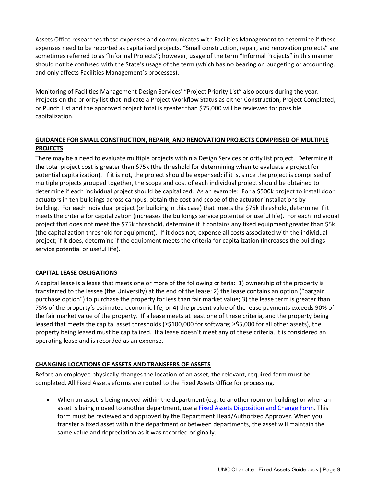Assets Office researches these expenses and communicates with Facilities Management to determine if these expenses need to be reported as capitalized projects. "Small construction, repair, and renovation projects" are sometimes referred to as "Informal Projects"; however, usage of the term "Informal Projects" in this manner should not be confused with the State's usage of the term (which has no bearing on budgeting or accounting, and only affects Facilities Management's processes).

Monitoring of Facilities Management Design Services' "Project Priority List" also occurs during the year. Projects on the priority list that indicate a Project Workflow Status as either Construction, Project Completed, or Punch List and the approved project total is greater than \$75,000 will be reviewed for possible capitalization.

# **GUIDANCE FOR SMALL CONSTRUCTION, REPAIR, AND RENOVATION PROJECTS COMPRISED OF MULTIPLE PROJECTS**

There may be a need to evaluate multiple projects within a Design Services priority list project. Determine if the total project cost is greater than \$75k (the threshold for determining when to evaluate a project for potential capitalization). If it is not, the project should be expensed; if it is, since the project is comprised of multiple projects grouped together, the scope and cost of each individual project should be obtained to determine if each individual project should be capitalized. As an example: For a \$500k project to install door actuators in ten buildings across campus, obtain the cost and scope of the actuator installations by building. For each individual project (or building in this case) that meets the \$75k threshold, determine if it meets the criteria for capitalization (increases the buildings service potential or useful life). For each individual project that does not meet the \$75k threshold, determine if it contains any fixed equipment greater than \$5k (the capitalization threshold for equipment). If it does not, expense all costs associated with the individual project; if it does, determine if the equipment meets the criteria for capitalization (increases the buildings service potential or useful life).

# **CAPITAL LEASE OBLIGATIONS**

A capital lease is a lease that meets one or more of the following criteria: 1) ownership of the property is transferred to the lessee (the University) at the end of the lease; 2) the lease contains an option ("bargain purchase option") to purchase the property for less than fair market value; 3) the lease term is greater than 75% of the property's estimated economic life; or 4) the present value of the lease payments exceeds 90% of the fair market value of the property. If a lease meets at least one of these criteria, and the property being leased that meets the capital asset thresholds (≥\$100,000 for software; ≥\$5,000 for all other assets), the property being leased must be capitalized. If a lease doesn't meet any of these criteria, it is considered an operating lease and is recorded as an expense.

# **CHANGING LOCATIONS OF ASSETS AND TRANSFERS OF ASSETS**

Before an employee physically changes the location of an asset, the relevant, required form must be completed. All Fixed Assets eforms are routed to the Fixed Assets Office for processing.

 When an asset is being moved within the department (e.g. to another room or building) or when an asset is being moved to another department, use a **Fixed Assets Disposition and Change Form**. This form must be reviewed and approved by the Department Head/Authorized Approver. When you transfer a fixed asset within the department or between departments, the asset will maintain the same value and depreciation as it was recorded originally.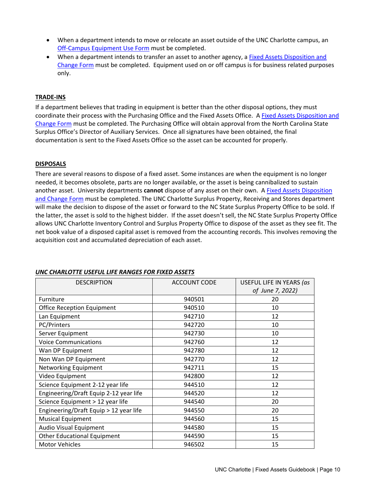- When a department intends to move or relocate an asset outside of the UNC Charlotte campus, an Off‐Campus Equipment Use Form must be completed.
- When a department intends to transfer an asset to another agency, a Fixed Assets Disposition and Change Form must be completed. Equipment used on or off campus is for business related purposes only.

# **TRADE‐INS**

If a department believes that trading in equipment is better than the other disposal options, they must coordinate their process with the Purchasing Office and the Fixed Assets Office. A Fixed Assets Disposition and Change Form must be completed. The Purchasing Office will obtain approval from the North Carolina State Surplus Office's Director of Auxiliary Services. Once all signatures have been obtained, the final documentation is sent to the Fixed Assets Office so the asset can be accounted for properly.

# **DISPOSALS**

There are several reasons to dispose of a fixed asset. Some instances are when the equipment is no longer needed, it becomes obsolete, parts are no longer available, or the asset is being cannibalized to sustain another asset. University departments **cannot** dispose of any asset on their own. A Fixed Assets Disposition and Change Form must be completed. The UNC Charlotte Surplus Property, Receiving and Stores department will make the decision to dispose of the asset or forward to the NC State Surplus Property Office to be sold. If the latter, the asset is sold to the highest bidder. If the asset doesn't sell, the NC State Surplus Property Office allows UNC Charlotte Inventory Control and Surplus Property Office to dispose of the asset as they see fit. The net book value of a disposed capital asset is removed from the accounting records. This involves removing the acquisition cost and accumulated depreciation of each asset.

| <b>DESCRIPTION</b>                     | <b>ACCOUNT CODE</b> | USEFUL LIFE IN YEARS (as |
|----------------------------------------|---------------------|--------------------------|
|                                        |                     | of June 7, 2022)         |
| Furniture                              | 940501              | 20                       |
| <b>Office Reception Equipment</b>      | 940510              | 10                       |
| Lan Equipment                          | 942710              | 12                       |
| PC/Printers                            | 942720              | 10                       |
| Server Equipment                       | 942730              | 10                       |
| <b>Voice Communications</b>            | 942760              | 12                       |
| Wan DP Equipment                       | 942780              | 12                       |
| Non Wan DP Equipment                   | 942770              | 12                       |
| Networking Equipment                   | 942711              | 15                       |
| Video Equipment                        | 942800              | 12                       |
| Science Equipment 2-12 year life       | 944510              | 12                       |
| Engineering/Draft Equip 2-12 year life | 944520              | 12                       |
| Science Equipment > 12 year life       | 944540              | 20                       |
| Engineering/Draft Equip > 12 year life | 944550              | 20                       |
| <b>Musical Equipment</b>               | 944560              | 15                       |
| Audio Visual Equipment                 | 944580              | 15                       |
| <b>Other Educational Equipment</b>     | 944590              | 15                       |
| <b>Motor Vehicles</b>                  | 946502              | 15                       |

# *UNC CHARLOTTE USEFUL LIFE RANGES FOR FIXED ASSETS*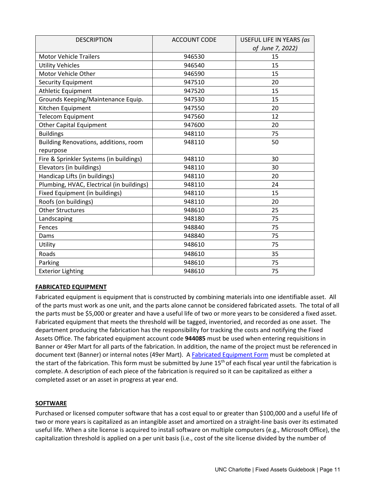| <b>DESCRIPTION</b>                        | <b>ACCOUNT CODE</b> | USEFUL LIFE IN YEARS (as |
|-------------------------------------------|---------------------|--------------------------|
|                                           |                     | of June 7, 2022)         |
| <b>Motor Vehicle Trailers</b>             | 946530              | 15                       |
| <b>Utility Vehicles</b>                   | 946540              | 15                       |
| Motor Vehicle Other                       | 946590              | 15                       |
| Security Equipment                        | 947510              | 20                       |
| Athletic Equipment                        | 947520              | 15                       |
| Grounds Keeping/Maintenance Equip.        | 947530              | 15                       |
| Kitchen Equipment                         | 947550              | 20                       |
| <b>Telecom Equipment</b>                  | 947560              | 12                       |
| <b>Other Capital Equipment</b>            | 947600              | 20                       |
| <b>Buildings</b>                          | 948110              | 75                       |
| Building Renovations, additions, room     | 948110              | 50                       |
| repurpose                                 |                     |                          |
| Fire & Sprinkler Systems (in buildings)   | 948110              | 30                       |
| Elevators (in buildings)                  | 948110              | 30                       |
| Handicap Lifts (in buildings)             | 948110              | 20                       |
| Plumbing, HVAC, Electrical (in buildings) | 948110              | 24                       |
| Fixed Equipment (in buildings)            | 948110              | 15                       |
| Roofs (on buildings)                      | 948110              | 20                       |
| <b>Other Structures</b>                   | 948610              | 25                       |
| Landscaping                               | 948180              | 75                       |
| Fences                                    | 948840              | 75                       |
| Dams                                      | 948840              | 75                       |
| Utility                                   | 948610              | 75                       |
| Roads                                     | 948610              | 35                       |
| Parking                                   | 948610              | 75                       |
| <b>Exterior Lighting</b>                  | 948610              | 75                       |

# **FABRICATED EQUIPMENT**

Fabricated equipment is equipment that is constructed by combining materials into one identifiable asset. All of the parts must work as one unit, and the parts alone cannot be considered fabricated assets. The total of all the parts must be \$5,000 or greater and have a useful life of two or more years to be considered a fixed asset. Fabricated equipment that meets the threshold will be tagged, inventoried, and recorded as one asset. The department producing the fabrication has the responsibility for tracking the costs and notifying the Fixed Assets Office. The fabricated equipment account code **944085** must be used when entering requisitions in Banner or 49er Mart for all parts of the fabrication. In addition, the name of the project must be referenced in document text (Banner) or internal notes (49er Mart). A Fabricated Equipment Form must be completed at the start of the fabrication. This form must be submitted by June 15<sup>th</sup> of each fiscal year until the fabrication is complete. A description of each piece of the fabrication is required so it can be capitalized as either a completed asset or an asset in progress at year end.

# **SOFTWARE**

Purchased or licensed computer software that has a cost equal to or greater than \$100,000 and a useful life of two or more years is capitalized as an intangible asset and amortized on a straight‐line basis over its estimated useful life. When a site license is acquired to install software on multiple computers (e.g., Microsoft Office), the capitalization threshold is applied on a per unit basis (i.e., cost of the site license divided by the number of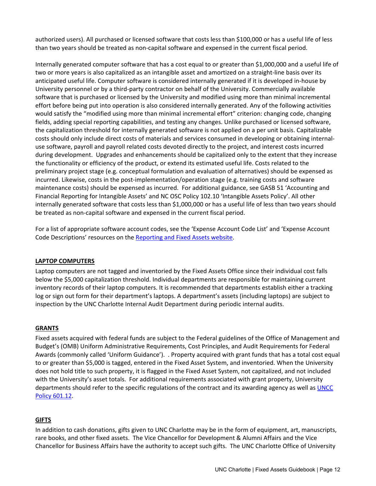authorized users). All purchased or licensed software that costs less than \$100,000 or has a useful life of less than two years should be treated as non‐capital software and expensed in the current fiscal period.

Internally generated computer software that has a cost equal to or greater than \$1,000,000 and a useful life of two or more years is also capitalized as an intangible asset and amortized on a straight‐line basis over its anticipated useful life. Computer software is considered internally generated if it is developed in‐house by University personnel or by a third‐party contractor on behalf of the University. Commercially available software that is purchased or licensed by the University and modified using more than minimal incremental effort before being put into operation is also considered internally generated. Any of the following activities would satisfy the "modified using more than minimal incremental effort" criterion: changing code, changing fields, adding special reporting capabilities, and testing any changes. Unlike purchased or licensed software, the capitalization threshold for internally generated software is not applied on a per unit basis. Capitalizable costs should only include direct costs of materials and services consumed in developing or obtaining internal‐ use software, payroll and payroll related costs devoted directly to the project, and interest costs incurred during development. Upgrades and enhancements should be capitalized only to the extent that they increase the functionality or efficiency of the product, or extend its estimated useful life. Costs related to the preliminary project stage (e.g. conceptual formulation and evaluation of alternatives) should be expensed as incurred. Likewise, costs in the post-implementation/operation stage (e.g. training costs and software maintenance costs) should be expensed as incurred. For additional guidance, see GASB 51 'Accounting and Financial Reporting for Intangible Assets' and NC OSC Policy 102.10 'Intangible Assets Policy'. All other internally generated software that costs less than \$1,000,000 or has a useful life of less than two years should be treated as non-capital software and expensed in the current fiscal period.

For a list of appropriate software account codes, see the 'Expense Account Code List' and 'Expense Account Code Descriptions' resources on the Reporting and Fixed Assets website.

# **LAPTOP COMPUTERS**

Laptop computers are not tagged and inventoried by the Fixed Assets Office since their individual cost falls below the \$5,000 capitalization threshold. Individual departments are responsible for maintaining current inventory records of their laptop computers. It is recommended that departments establish either a tracking log or sign out form for their department's laptops. A department's assets (including laptops) are subject to inspection by the UNC Charlotte Internal Audit Department during periodic internal audits.

# **GRANTS**

Fixed assets acquired with federal funds are subject to the Federal guidelines of the Office of Management and Budget's (OMB) Uniform Administrative Requirements, Cost Principles, and Audit Requirements for Federal Awards (commonly called 'Uniform Guidance'). . Property acquired with grant funds that has a total cost equal to or greater than \$5,000 is tagged, entered in the Fixed Asset System, and inventoried. When the University does not hold title to such property, it is flagged in the Fixed Asset System, not capitalized, and not included with the University's asset totals. For additional requirements associated with grant property, University departments should refer to the specific regulations of the contract and its awarding agency as well as UNCC Policy 601.12.

# **GIFTS**

In addition to cash donations, gifts given to UNC Charlotte may be in the form of equipment, art, manuscripts, rare books, and other fixed assets. The Vice Chancellor for Development & Alumni Affairs and the Vice Chancellor for Business Affairs have the authority to accept such gifts. The UNC Charlotte Office of University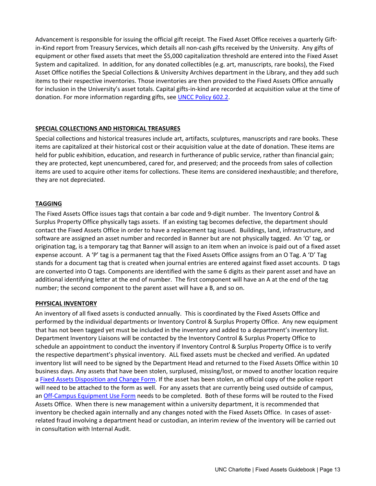Advancement is responsible for issuing the official gift receipt. The Fixed Asset Office receives a quarterly Gift‐ in-Kind report from Treasury Services, which details all non-cash gifts received by the University. Any gifts of equipment or other fixed assets that meet the \$5,000 capitalization threshold are entered into the Fixed Asset System and capitalized. In addition, for any donated collectibles (e.g. art, manuscripts, rare books), the Fixed Asset Office notifies the Special Collections & University Archives department in the Library, and they add such items to their respective inventories. Those inventories are then provided to the Fixed Assets Office annually for inclusion in the University's asset totals. Capital gifts-in-kind are recorded at acquisition value at the time of donation. For more information regarding gifts, see **UNCC Policy 602.2**.

# **SPECIAL COLLECTIONS AND HISTORICAL TREASURES**

Special collections and historical treasures include art, artifacts, sculptures, manuscripts and rare books. These items are capitalized at their historical cost or their acquisition value at the date of donation. These items are held for public exhibition, education, and research in furtherance of public service, rather than financial gain; they are protected, kept unencumbered, cared for, and preserved; and the proceeds from sales of collection items are used to acquire other items for collections. These items are considered inexhaustible; and therefore, they are not depreciated.

# **TAGGING**

The Fixed Assets Office issues tags that contain a bar code and 9‐digit number. The Inventory Control & Surplus Property Office physically tags assets. If an existing tag becomes defective, the department should contact the Fixed Assets Office in order to have a replacement tag issued. Buildings, land, infrastructure, and software are assigned an asset number and recorded in Banner but are not physically tagged. An 'O' tag, or origination tag, is a temporary tag that Banner will assign to an item when an invoice is paid out of a fixed asset expense account. A 'P' tag is a permanent tag that the Fixed Assets Office assigns from an O Tag. A 'D' Tag stands for a document tag that is created when journal entries are entered against fixed asset accounts. D tags are converted into O tags. Components are identified with the same 6 digits as their parent asset and have an additional identifying letter at the end of number. The first component will have an A at the end of the tag number; the second component to the parent asset will have a B, and so on.

# **PHYSICAL INVENTORY**

An inventory of all fixed assets is conducted annually. This is coordinated by the Fixed Assets Office and performed by the individual departments or Inventory Control & Surplus Property Office. Any new equipment that has not been tagged yet must be included in the inventory and added to a department's inventory list. Department Inventory Liaisons will be contacted by the Inventory Control & Surplus Property Office to schedule an appointment to conduct the inventory if Inventory Control & Surplus Property Office is to verify the respective department's physical inventory. ALL fixed assets must be checked and verified. An updated inventory list will need to be signed by the Department Head and returned to the Fixed Assets Office within 10 business days. Any assets that have been stolen, surplused, missing/lost, or moved to another location require a Fixed Assets Disposition and Change Form. If the asset has been stolen, an official copy of the police report will need to be attached to the form as well. For any assets that are currently being used outside of campus, an Off-Campus Equipment Use Form needs to be completed. Both of these forms will be routed to the Fixed Assets Office. When there is new management within a university department, it is recommended that inventory be checked again internally and any changes noted with the Fixed Assets Office. In cases of asset‐ related fraud involving a department head or custodian, an interim review of the inventory will be carried out in consultation with Internal Audit.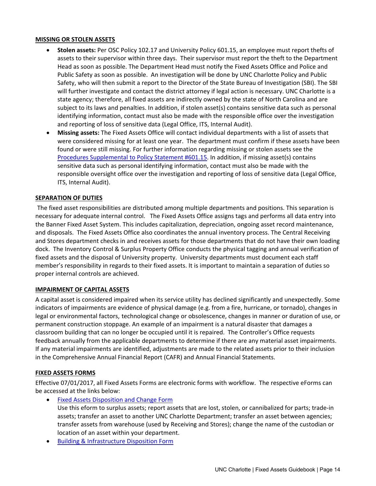## **MISSING OR STOLEN ASSETS**

- **Stolen assets:** Per OSC Policy 102.17 and University Policy 601.15, an employee must report thefts of assets to their supervisor within three days. Their supervisor must report the theft to the Department Head as soon as possible. The Department Head must notify the Fixed Assets Office and Police and Public Safety as soon as possible. An investigation will be done by UNC Charlotte Policy and Public Safety, who will then submit a report to the Director of the State Bureau of Investigation (SBI). The SBI will further investigate and contact the district attorney if legal action is necessary. UNC Charlotte is a state agency; therefore, all fixed assets are indirectly owned by the state of North Carolina and are subject to its laws and penalties. In addition, if stolen asset(s) contains sensitive data such as personal identifying information, contact must also be made with the responsible office over the investigation and reporting of loss of sensitive data (Legal Office, ITS, Internal Audit).
- **Missing assets:** The Fixed Assets Office will contact individual departments with a list of assets that were considered missing for at least one year. The department must confirm if these assets have been found or were still missing. For further information regarding missing or stolen assets see the Procedures Supplemental to Policy Statement #601.15. In addition, if missing asset(s) contains sensitive data such as personal identifying information, contact must also be made with the responsible oversight office over the investigation and reporting of loss of sensitive data (Legal Office, ITS, Internal Audit).

## **SEPARATION OF DUTIES**

The fixed asset responsibilities are distributed among multiple departments and positions. This separation is necessary for adequate internal control. The Fixed Assets Office assigns tags and performs all data entry into the Banner Fixed Asset System. This includes capitalization, depreciation, ongoing asset record maintenance, and disposals. The Fixed Assets Office also coordinates the annual inventory process. The Central Receiving and Stores department checks in and receives assets for those departments that do not have their own loading dock. The Inventory Control & Surplus Property Office conducts the physical tagging and annual verification of fixed assets and the disposal of University property. University departments must document each staff member's responsibility in regards to their fixed assets. It is important to maintain a separation of duties so proper internal controls are achieved.

#### **IMPAIRMENT OF CAPITAL ASSETS**

A capital asset is considered impaired when its service utility has declined significantly and unexpectedly. Some indicators of impairments are evidence of physical damage (e.g. from a fire, hurricane, or tornado), changes in legal or environmental factors, technological change or obsolescence, changes in manner or duration of use, or permanent construction stoppage. An example of an impairment is a natural disaster that damages a classroom building that can no longer be occupied until it is repaired. The Controller's Office requests feedback annually from the applicable departments to determine if there are any material asset impairments. If any material impairments are identified, adjustments are made to the related assets prior to their inclusion in the Comprehensive Annual Financial Report (CAFR) and Annual Financial Statements.

# **FIXED ASSETS FORMS**

Effective 07/01/2017, all Fixed Assets Forms are electronic forms with workflow. The respective eForms can be accessed at the links below:

- Fixed Assets Disposition and Change Form Use this eform to surplus assets; report assets that are lost, stolen, or cannibalized for parts; trade‐in assets; transfer an asset to another UNC Charlotte Department; transfer an asset between agencies; transfer assets from warehouse (used by Receiving and Stores); change the name of the custodian or location of an asset within your department.
- Building & Infrastructure Disposition Form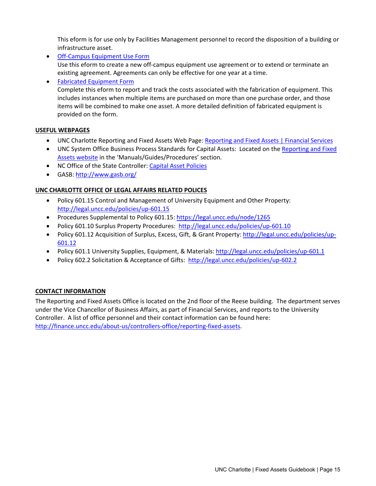This eform is for use only by Facilities Management personnel to record the disposition of a building or infrastructure asset.

● Off-Campus Equipment Use Form Use this eform to create a new off‐campus equipment use agreement or to extend or terminate an existing agreement. Agreements can only be effective for one year at a time.

 Fabricated Equipment Form Complete this eform to report and track the costs associated with the fabrication of equipment. This includes instances when multiple items are purchased on more than one purchase order, and those items will be combined to make one asset. A more detailed definition of fabricated equipment is provided on the form.

# **USEFUL WEBPAGES**

- UNC Charlotte Reporting and Fixed Assets Web Page: Reporting and Fixed Assets | Financial Services
- UNC System Office Business Process Standards for Capital Assets: Located on the Reporting and Fixed Assets website in the 'Manuals/Guides/Procedures' section.
- NC Office of the State Controller: Capital Asset Policies
- GASB: http://www.gasb.org/

# **UNC CHARLOTTE OFFICE OF LEGAL AFFAIRS RELATED POLICES**

- Policy 601.15 Control and Management of University Equipment and Other Property: http://legal.uncc.edu/policies/up‐601.15
- Procedures Supplemental to Policy 601.15: https://legal.uncc.edu/node/1265
- Policy 601.10 Surplus Property Procedures: http://legal.uncc.edu/policies/up-601.10
- Policy 601.12 Acquisition of Surplus, Excess, Gift, & Grant Property: http://legal.uncc.edu/policies/up-601.12
- Policy 601.1 University Supplies, Equipment, & Materials: http://legal.uncc.edu/policies/up‐601.1
- Policy 602.2 Solicitation & Acceptance of Gifts: http://legal.uncc.edu/policies/up-602.2

# **CONTACT INFORMATION**

The Reporting and Fixed Assets Office is located on the 2nd floor of the Reese building. The department serves under the Vice Chancellor of Business Affairs, as part of Financial Services, and reports to the University Controller. A list of office personnel and their contact information can be found here: http://finance.uncc.edu/about-us/controllers-office/reporting-fixed-assets.